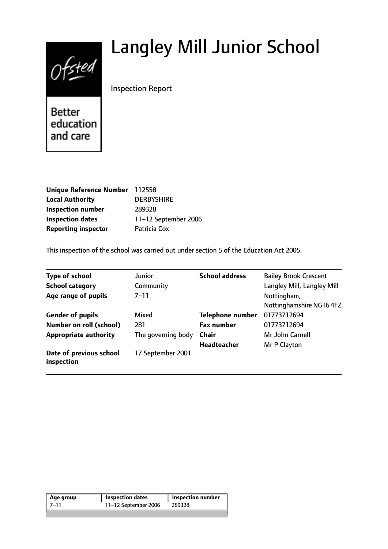# Langley Mill Junior School



Inspection Report

**Better** education and care

| Unique Reference Number 112558 |                      |
|--------------------------------|----------------------|
| <b>Local Authority</b>         | <b>DERBYSHIRE</b>    |
| <b>Inspection number</b>       | 289328               |
| <b>Inspection dates</b>        | 11-12 September 2006 |
| <b>Reporting inspector</b>     | Patricia Cox         |

This inspection of the school was carried out under section 5 of the Education Act 2005.

| <b>Type of school</b>                 | <b>Junior</b>      | <b>School address</b>   | <b>Bailey Brook Crescent</b> |
|---------------------------------------|--------------------|-------------------------|------------------------------|
| <b>School category</b>                | Community          |                         | Langley Mill, Langley Mill   |
| Age range of pupils                   | $7 - 11$           |                         | Nottingham,                  |
|                                       |                    |                         | Nottinghamshire NG164FZ      |
| <b>Gender of pupils</b>               | Mixed              | <b>Telephone number</b> | 01773712694                  |
| Number on roll (school)               | 281                | <b>Fax number</b>       | 01773712694                  |
| <b>Appropriate authority</b>          | The governing body | Chair                   | Mr John Carnell              |
|                                       |                    | <b>Headteacher</b>      | Mr P Clayton                 |
| Date of previous school<br>inspection | 17 September 2001  |                         |                              |

| Age group | <b>Inspection dates</b> | <b>Inspection number</b> |  |
|-----------|-------------------------|--------------------------|--|
| 7–11      | 11-12 September 2006    | 289328                   |  |
|           |                         |                          |  |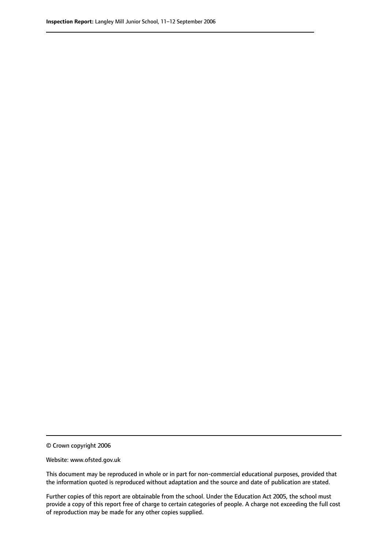© Crown copyright 2006

Website: www.ofsted.gov.uk

This document may be reproduced in whole or in part for non-commercial educational purposes, provided that the information quoted is reproduced without adaptation and the source and date of publication are stated.

Further copies of this report are obtainable from the school. Under the Education Act 2005, the school must provide a copy of this report free of charge to certain categories of people. A charge not exceeding the full cost of reproduction may be made for any other copies supplied.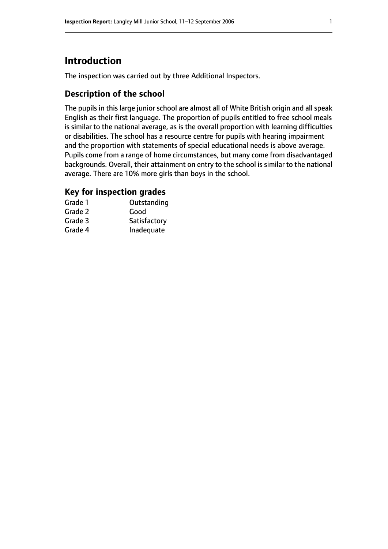# **Introduction**

The inspection was carried out by three Additional Inspectors.

## **Description of the school**

The pupils in this large junior school are almost all of White British origin and all speak English as their first language. The proportion of pupils entitled to free school meals is similar to the national average, as is the overall proportion with learning difficulties or disabilities. The school has a resource centre for pupils with hearing impairment and the proportion with statements of special educational needs is above average. Pupils come from a range of home circumstances, but many come from disadvantaged backgrounds. Overall, their attainment on entry to the school is similar to the national average. There are 10% more girls than boys in the school.

## **Key for inspection grades**

| Grade 1 | Outstanding  |
|---------|--------------|
| Grade 2 | Good         |
| Grade 3 | Satisfactory |
| Grade 4 | Inadequate   |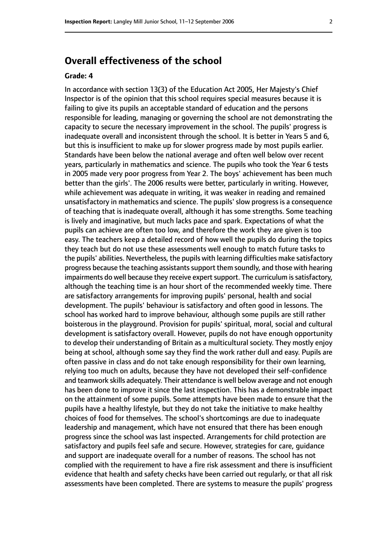# **Overall effectiveness of the school**

#### **Grade: 4**

In accordance with section 13(3) of the Education Act 2005, Her Majesty's Chief Inspector is of the opinion that this school requires special measures because it is failing to give its pupils an acceptable standard of education and the persons responsible for leading, managing or governing the school are not demonstrating the capacity to secure the necessary improvement in the school. The pupils' progress is inadequate overall and inconsistent through the school. It is better in Years 5 and 6, but this is insufficient to make up for slower progress made by most pupils earlier. Standards have been below the national average and often well below over recent years, particularly in mathematics and science. The pupils who took the Year 6 tests in 2005 made very poor progress from Year 2. The boys' achievement has been much better than the girls'. The 2006 results were better, particularly in writing. However, while achievement was adequate in writing, it was weaker in reading and remained unsatisfactory in mathematics and science. The pupils' slow progress is a consequence of teaching that is inadequate overall, although it has some strengths. Some teaching is lively and imaginative, but much lacks pace and spark. Expectations of what the pupils can achieve are often too low, and therefore the work they are given is too easy. The teachers keep a detailed record of how well the pupils do during the topics they teach but do not use these assessments well enough to match future tasks to the pupils' abilities. Nevertheless, the pupils with learning difficulties make satisfactory progress because the teaching assistants support them soundly, and those with hearing impairments do well because they receive expert support. The curriculum is satisfactory, although the teaching time is an hour short of the recommended weekly time. There are satisfactory arrangements for improving pupils' personal, health and social development. The pupils' behaviour is satisfactory and often good in lessons. The school has worked hard to improve behaviour, although some pupils are still rather boisterous in the playground. Provision for pupils' spiritual, moral, social and cultural development is satisfactory overall. However, pupils do not have enough opportunity to develop their understanding of Britain as a multicultural society. They mostly enjoy being at school, although some say they find the work rather dull and easy. Pupils are often passive in class and do not take enough responsibility for their own learning, relying too much on adults, because they have not developed their self-confidence and teamwork skills adequately. Their attendance is well below average and not enough has been done to improve it since the last inspection. This has a demonstrable impact on the attainment of some pupils. Some attempts have been made to ensure that the pupils have a healthy lifestyle, but they do not take the initiative to make healthy choices of food for themselves. The school's shortcomings are due to inadequate leadership and management, which have not ensured that there has been enough progress since the school was last inspected. Arrangements for child protection are satisfactory and pupils feel safe and secure. However, strategies for care, guidance and support are inadequate overall for a number of reasons. The school has not complied with the requirement to have a fire risk assessment and there is insufficient evidence that health and safety checks have been carried out regularly, or that all risk assessments have been completed. There are systems to measure the pupils' progress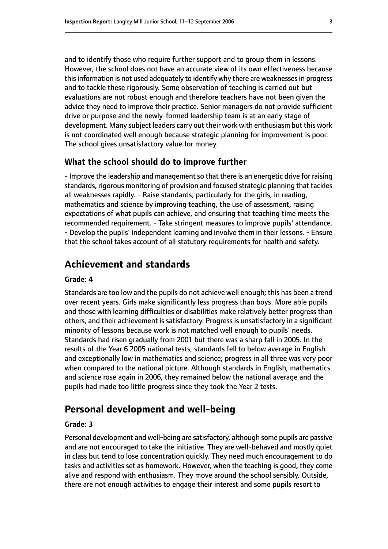and to identify those who require further support and to group them in lessons. However, the school does not have an accurate view of its own effectiveness because this information is not used adequately to identify why there are weaknesses in progress and to tackle these rigorously. Some observation of teaching is carried out but evaluations are not robust enough and therefore teachers have not been given the advice they need to improve their practice. Senior managers do not provide sufficient drive or purpose and the newly-formed leadership team is at an early stage of development. Many subject leaders carry out their work with enthusiasm but this work is not coordinated well enough because strategic planning for improvement is poor. The school gives unsatisfactory value for money.

#### **What the school should do to improve further**

- Improve the leadership and management so that there is an energetic drive for raising standards, rigorous monitoring of provision and focused strategic planning that tackles all weaknesses rapidly. - Raise standards, particularly for the girls, in reading, mathematics and science by improving teaching, the use of assessment, raising expectations of what pupils can achieve, and ensuring that teaching time meets the recommended requirement. - Take stringent measures to improve pupils' attendance. - Develop the pupils' independent learning and involve them in their lessons. - Ensure that the school takes account of all statutory requirements for health and safety.

## **Achievement and standards**

#### **Grade: 4**

Standards are too low and the pupils do not achieve well enough; this has been a trend over recent years. Girls make significantly less progress than boys. More able pupils and those with learning difficulties or disabilities make relatively better progress than others, and their achievement is satisfactory. Progress is unsatisfactory in a significant minority of lessons because work is not matched well enough to pupils' needs. Standards had risen gradually from 2001 but there was a sharp fall in 2005. In the results of the Year 6 2005 national tests, standards fell to below average in English and exceptionally low in mathematics and science; progress in all three was very poor when compared to the national picture. Although standards in English, mathematics and science rose again in 2006, they remained below the national average and the pupils had made too little progress since they took the Year 2 tests.

### **Personal development and well-being**

#### **Grade: 3**

Personal development and well-being are satisfactory, although some pupils are passive and are not encouraged to take the initiative. They are well-behaved and mostly quiet in class but tend to lose concentration quickly. They need much encouragement to do tasks and activities set as homework. However, when the teaching is good, they come alive and respond with enthusiasm. They move around the school sensibly. Outside, there are not enough activities to engage their interest and some pupils resort to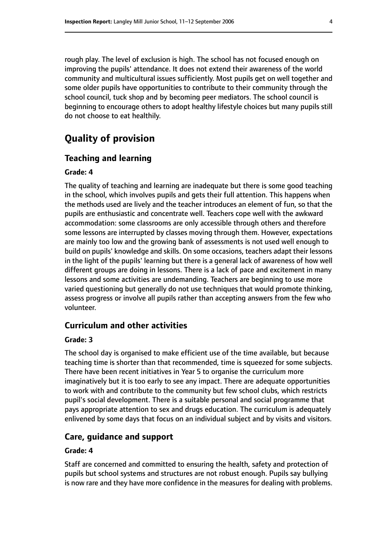rough play. The level of exclusion is high. The school has not focused enough on improving the pupils' attendance. It does not extend their awareness of the world community and multicultural issues sufficiently. Most pupils get on well together and some older pupils have opportunities to contribute to their community through the school council, tuck shop and by becoming peer mediators. The school council is beginning to encourage others to adopt healthy lifestyle choices but many pupils still do not choose to eat healthily.

# **Quality of provision**

#### **Teaching and learning**

#### **Grade: 4**

The quality of teaching and learning are inadequate but there is some good teaching in the school, which involves pupils and gets their full attention. This happens when the methods used are lively and the teacher introduces an element of fun, so that the pupils are enthusiastic and concentrate well. Teachers cope well with the awkward accommodation: some classrooms are only accessible through others and therefore some lessons are interrupted by classes moving through them. However, expectations are mainly too low and the growing bank of assessments is not used well enough to build on pupils' knowledge and skills. On some occasions, teachers adapt their lessons in the light of the pupils' learning but there is a general lack of awareness of how well different groups are doing in lessons. There is a lack of pace and excitement in many lessons and some activities are undemanding. Teachers are beginning to use more varied questioning but generally do not use techniques that would promote thinking, assess progress or involve all pupils rather than accepting answers from the few who volunteer.

## **Curriculum and other activities**

#### **Grade: 3**

The school day is organised to make efficient use of the time available, but because teaching time is shorter than that recommended, time is squeezed for some subjects. There have been recent initiatives in Year 5 to organise the curriculum more imaginatively but it is too early to see any impact. There are adequate opportunities to work with and contribute to the community but few school clubs, which restricts pupil's social development. There is a suitable personal and social programme that pays appropriate attention to sex and drugs education. The curriculum is adequately enlivened by some days that focus on an individual subject and by visits and visitors.

#### **Care, guidance and support**

#### **Grade: 4**

Staff are concerned and committed to ensuring the health, safety and protection of pupils but school systems and structures are not robust enough. Pupils say bullying is now rare and they have more confidence in the measures for dealing with problems.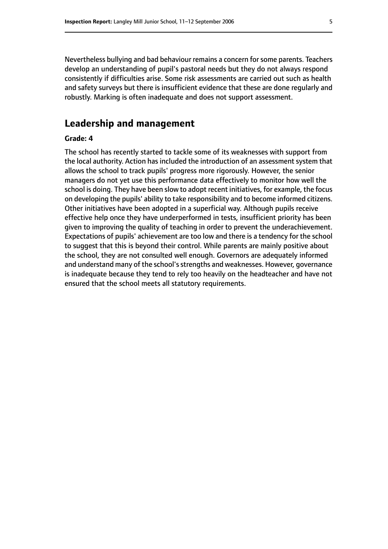Nevertheless bullying and bad behaviour remains a concern for some parents. Teachers develop an understanding of pupil's pastoral needs but they do not always respond consistently if difficulties arise. Some risk assessments are carried out such as health and safety surveys but there is insufficient evidence that these are done regularly and robustly. Marking is often inadequate and does not support assessment.

## **Leadership and management**

#### **Grade: 4**

The school has recently started to tackle some of its weaknesses with support from the local authority. Action has included the introduction of an assessment system that allows the school to track pupils' progress more rigorously. However, the senior managers do not yet use this performance data effectively to monitor how well the school is doing. They have been slow to adopt recent initiatives, for example, the focus on developing the pupils' ability to take responsibility and to become informed citizens. Other initiatives have been adopted in a superficial way. Although pupils receive effective help once they have underperformed in tests, insufficient priority has been given to improving the quality of teaching in order to prevent the underachievement. Expectations of pupils' achievement are too low and there is a tendency for the school to suggest that this is beyond their control. While parents are mainly positive about the school, they are not consulted well enough. Governors are adequately informed and understand many of the school's strengths and weaknesses. However, governance is inadequate because they tend to rely too heavily on the headteacher and have not ensured that the school meets all statutory requirements.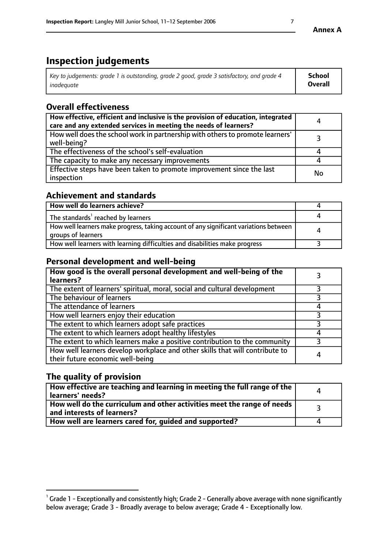# **Inspection judgements**

| Key to judgements: grade 1 is outstanding, grade 2 good, grade 3 satisfactory, and grade 4 | <b>School</b>  |
|--------------------------------------------------------------------------------------------|----------------|
| inadeauate                                                                                 | <b>Overall</b> |

# **Overall effectiveness**

| How effective, efficient and inclusive is the provision of education, integrated<br>care and any extended services in meeting the needs of learners? | 4  |
|------------------------------------------------------------------------------------------------------------------------------------------------------|----|
| How well does the school work in partnership with others to promote learners'<br>well-being?                                                         |    |
| The effectiveness of the school's self-evaluation                                                                                                    |    |
| The capacity to make any necessary improvements                                                                                                      |    |
| Effective steps have been taken to promote improvement since the last<br>inspection                                                                  | No |

# **Achievement and standards**

| How well do learners achieve?                                                                               |   |
|-------------------------------------------------------------------------------------------------------------|---|
| The standards <sup>1</sup> reached by learners                                                              |   |
| How well learners make progress, taking account of any significant variations between<br>groups of learners | 4 |
| How well learners with learning difficulties and disabilities make progress                                 |   |

# **Personal development and well-being**

| How good is the overall personal development and well-being of the<br>learners?                                  |   |
|------------------------------------------------------------------------------------------------------------------|---|
| The extent of learners' spiritual, moral, social and cultural development                                        |   |
| The behaviour of learners                                                                                        |   |
| The attendance of learners                                                                                       |   |
| How well learners enjoy their education                                                                          |   |
| The extent to which learners adopt safe practices                                                                |   |
| The extent to which learners adopt healthy lifestyles                                                            |   |
| The extent to which learners make a positive contribution to the community                                       |   |
| How well learners develop workplace and other skills that will contribute to<br>their future economic well-being | 4 |

# **The quality of provision**

| How effective are teaching and learning in meeting the full range of the<br>learners' needs?                        |  |
|---------------------------------------------------------------------------------------------------------------------|--|
| $\mid$ How well do the curriculum and other activities meet the range of needs $\mid$<br>and interests of learners? |  |
| How well are learners cared for, guided and supported?                                                              |  |

 $^1$  Grade 1 - Exceptionally and consistently high; Grade 2 - Generally above average with none significantly below average; Grade 3 - Broadly average to below average; Grade 4 - Exceptionally low.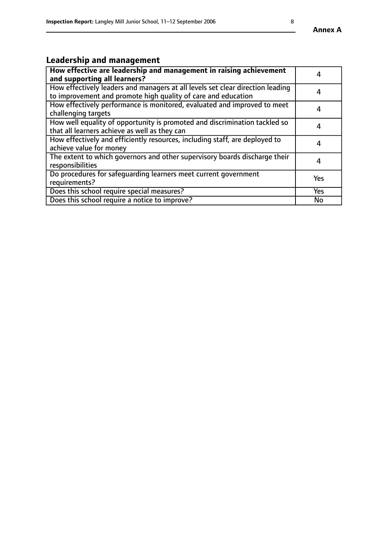# **Leadership and management**

| How effective are leadership and management in raising achievement<br>and supporting all learners?                                              |           |
|-------------------------------------------------------------------------------------------------------------------------------------------------|-----------|
| How effectively leaders and managers at all levels set clear direction leading<br>to improvement and promote high quality of care and education | 4         |
| How effectively performance is monitored, evaluated and improved to meet<br>challenging targets                                                 | 4         |
| How well equality of opportunity is promoted and discrimination tackled so<br>that all learners achieve as well as they can                     | 4         |
| How effectively and efficiently resources, including staff, are deployed to<br>achieve value for money                                          | 4         |
| The extent to which governors and other supervisory boards discharge their<br>responsibilities                                                  | 4         |
| Do procedures for safequarding learners meet current government<br>requirements?                                                                | Yes       |
| Does this school require special measures?                                                                                                      | Yes       |
| Does this school require a notice to improve?                                                                                                   | <b>No</b> |